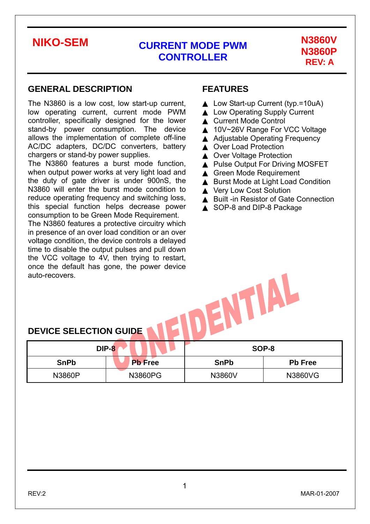### **GENERAL DESCRIPTION**

The N3860 is a low cost, low start-up current, low operating current, current mode PWM controller, specifically designed for the lower stand-by power consumption. The device allows the implementation of complete off-line AC/DC adapters, DC/DC converters, battery chargers or stand-by power supplies.

The N3860 features a burst mode function, when output power works at very light load and the duty of gate driver is under 900nS, the N3860 will enter the burst mode condition to reduce operating frequency and switching loss, this special function helps decrease power consumption to be Green Mode Requirement.

The N3860 features a protective circuitry which in presence of an over load condition or an over voltage condition, the device controls a delayed time to disable the output pulses and pull down the VCC voltage to 4V, then trying to restart, once the default has gone, the power device auto-recovers.

### **FEATURES**

Low Start-up Current (typ.=10uA) **Low Operating Supply Current Current Mode Control** 10V~26V Range For VCC Voltage **Adjustable Operating Frequency** Over Load Protection **Over Voltage Protection** Pulse Output For Driving MOSFET **Green Mode Requirement Burst Mode at Light Load Condition Very Low Cost Solution Built -in Resistor of Gate Connection** SOP-8 and DIP-8 Package

| <b>DEVICE SELECTION GUIDE</b> |  |
|-------------------------------|--|
|-------------------------------|--|

|             | <b>DIP-8</b>   | SOP-8       |                |  |
|-------------|----------------|-------------|----------------|--|
| <b>SnPb</b> | <b>Pb</b> Free | <b>SnPb</b> | <b>Pb Free</b> |  |
| N3860P      | N3860PG        | N3860V      | N3860VG        |  |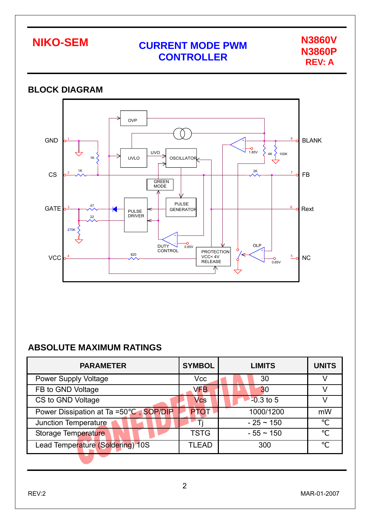

### **BLOCK DIAGRAM**  OVP ( GND BLANK 8 1 +  $-$ 0<br>1.85V - UVO  $4K \left\{$ 100K 1K UVLO OSCILLATO 1K  $2K$ CS FB 2 7 **GREEN** MODE PULSE 47 GATE Rext 3 6 **GENERATOR** PULSE DRIVER 22 270K + **DUTY**  $\begin{array}{c} \begin{array}{c} \n\hline\n\text{0.65V} \n\end{array} & \begin{array}{c} \n\hline\n\end{array} & \begin{array}{c} \n\hline\n\end{array} & \begin{array}{c} \n\hline\n\end{array} & \begin{array}{c} \n\hline\n\end{array} & \begin{array}{c} \n\hline\n\end{array} & \begin{array}{c} \n\hline\n\end{array} & \begin{array}{c} \n\hline\n\end{array} & \begin{array}{c} \n\hline\n\end{array} & \begin{array}{c} \n\hline\n\end{array} & \begin{array}{c} \n\hline$ PROTECTION + 820 **VCC** 5 <sup>4</sup> NC VCC< 4V RELEASE  $-$ O<br>0.65V - ↑

## **ABSOLUTE MAXIMUM RATINGS**

| <b>PARAMETER</b>                       | <b>SYMBOL</b> | <b>LIMITS</b>  | <b>UNITS</b> |
|----------------------------------------|---------------|----------------|--------------|
| <b>Power Supply Voltage</b>            | <b>Vcc</b>    | 30             |              |
| FB to GND Voltage                      | <b>VFB</b>    | 30             |              |
| CS to GND Voltage                      | Vcs           | $-0.3$ to 5    |              |
| Power Dissipation at Ta =50<br>SOP/DIP | <b>PTOT</b>   | 1000/1200      | mW           |
| <b>Junction Temperature</b>            |               | $-25 \sim 150$ |              |
| Storage Temperature                    | <b>TSTG</b>   | $-55 \sim 150$ |              |
| Lead Temperature (Soldering) 10S       | TLEAD         | 300            |              |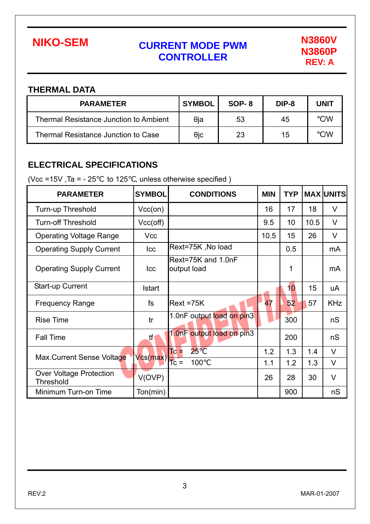

### **THERMAL DATA**

| <b>PARAMETER</b>                              | <b>SYMBOL</b> | SOP-8 | DIP-8 | UNIT |
|-----------------------------------------------|---------------|-------|-------|------|
| <b>Thermal Resistance Junction to Ambient</b> | θja           | 53    | 45    | /W   |
| <b>Thermal Resistance Junction to Case</b>    | $\theta$ ic   | 23    | 15    | /W   |

## **ELECTRICAL SPECIFICATIONS**

(Vcc =15V, Ta =  $-25$  to 125, unless otherwise specified)

| <b>PARAMETER</b>                                   | <b>SYMBOL</b> | <b>CONDITIONS</b>                 | <b>MIN</b> | <b>TYP</b> |      | <b>MAX UNITS</b> |
|----------------------------------------------------|---------------|-----------------------------------|------------|------------|------|------------------|
| Turn-up Threshold                                  | $Vcc($ on $)$ |                                   | 16         | 17         | 18   | V                |
| <b>Turn-off Threshold</b>                          | Vcc(off)      |                                   | 9.5        | 10         | 10.5 | V                |
| <b>Operating Voltage Range</b>                     | <b>Vcc</b>    |                                   | 10.5       | 15         | 26   | V                |
| <b>Operating Supply Current</b>                    | Icc           | Rext=75K, No load                 |            | 0.5        |      | mA               |
| <b>Operating Supply Current</b>                    | <b>Icc</b>    | Rext=75K and 1.0nF<br>output load |            | 1          |      | mA               |
| Start-up Current                                   | <b>Istart</b> |                                   |            | 10         | 15   | uA               |
| <b>Frequency Range</b>                             | fs            | $Rext = 75K$                      | 47         | 52         | 57   | <b>KHz</b>       |
| <b>Rise Time</b>                                   | tr            | 1.0nF output load on pin3         |            | 300        |      | nS               |
| <b>Fall Time</b>                                   | tf            | 1.0nF output load on pin3         |            | 200        |      | nS               |
| Max.Current Sense Voltage                          | Vcs(max)      | 25<br>Tc <sup>-</sup>             | 1.2        | 1.3        | 1.4  | $\vee$           |
|                                                    |               | $TC =$<br>100                     | 1.1        | 1.2        | 1.3  | $\vee$           |
| <b>Over Voltage Protection</b><br><b>Threshold</b> | V(OVP)        |                                   | 26         | 28         | 30   | $\vee$           |
| Minimum Turn-on Time                               | Ton(min)      |                                   |            | 900        |      | nS               |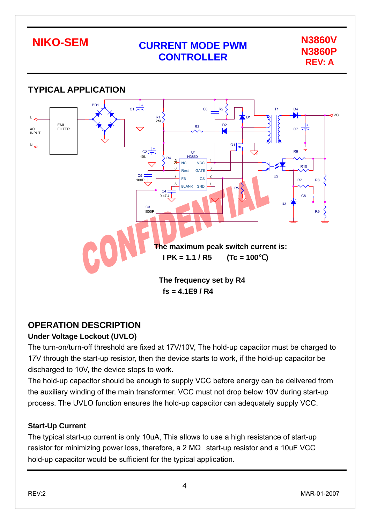

## **OPERATION DESCRIPTION**

## **Under Voltage Lockout (UVLO)**

The turn-on/turn-off threshold are fixed at 17V/10V, The hold-up capacitor must be charged to 17V through the start-up resistor, then the device starts to work, if the hold-up capacitor be discharged to 10V, the device stops to work.

The hold-up capacitor should be enough to supply VCC before energy can be delivered from the auxiliary winding of the main transformer. VCC must not drop below 10V during start-up process. The UVLO function ensures the hold-up capacitor can adequately supply VCC.

## **Start-Up Current**

The typical start-up current is only 10uA, This allows to use a high resistance of start-up resistor for minimizing power loss, therefore, a 2 M start-up resistor and a 10uF VCC hold-up capacitor would be sufficient for the typical application.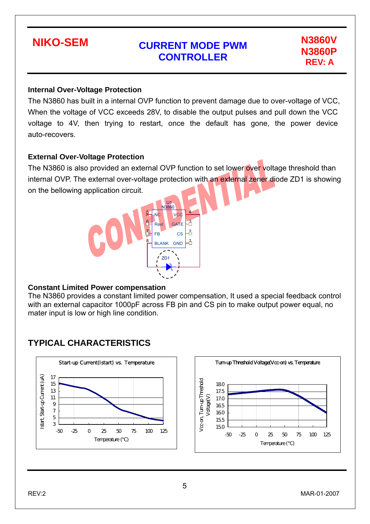

### **Internal Over-Voltage Protection**

The N3860 has built in a internal OVP function to prevent damage due to over-voltage of VCC, When the voltage of VCC exceeds 28V, to disable the output pulses and pull down the VCC voltage to 4V, then trying to restart, once the default has gone, the power device auto-recovers.

### **External Over-Voltage Protection**

The N3860 is also provided an external OVP function to set lower over voltage threshold than internal OVP. The external over-voltage protection with an external zener diode ZD1 is showing on the bellowing application circuit.



### **Constant Limited Power compensation**

The N3860 provides a constant limited power compensation, It used a special feedback control with an external capacitor 1000pF across FB pin and CS pin to make output power equal, no mater input is low or high line condition.

## **TYPICAL CHARACTERISTICS**



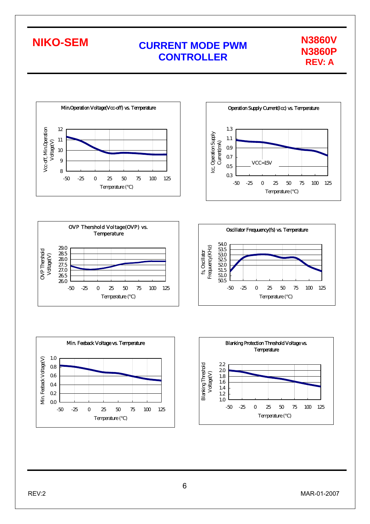













6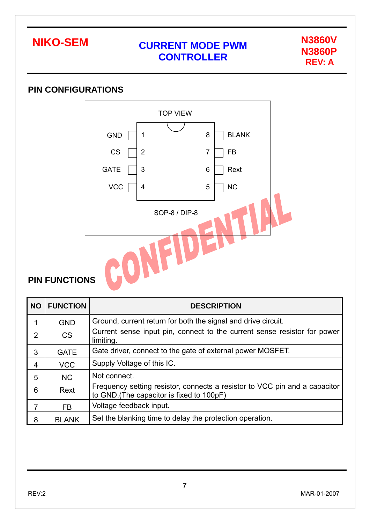

## **PIN CONFIGURATIONS**



## **PIN FUNCTIONS**

| <b>NO</b>      | <b>FUNCTION</b> | <b>DESCRIPTION</b>                                                                                                      |
|----------------|-----------------|-------------------------------------------------------------------------------------------------------------------------|
|                | <b>GND</b>      | Ground, current return for both the signal and drive circuit.                                                           |
| $\overline{2}$ | <b>CS</b>       | Current sense input pin, connect to the current sense resistor for power<br>limiting.                                   |
| 3              | <b>GATE</b>     | Gate driver, connect to the gate of external power MOSFET.                                                              |
| 4              | <b>VCC</b>      | Supply Voltage of this IC.                                                                                              |
| 5              | NC              | Not connect.                                                                                                            |
| 6              | Rext            | Frequency setting resistor, connects a resistor to VCC pin and a capacitor<br>to GND. (The capacitor is fixed to 100pF) |
| 7              | FB.             | Voltage feedback input.                                                                                                 |
| 8              | <b>BLANK</b>    | Set the blanking time to delay the protection operation.                                                                |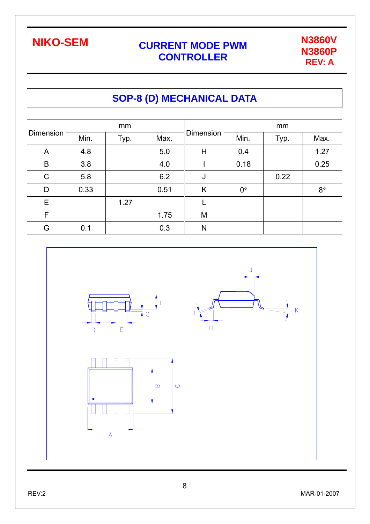

## **SOP-8 (D) MECHANICAL DATA**

| <b>Dimension</b> |      | mm   |      |           | mm          |      |             |  |
|------------------|------|------|------|-----------|-------------|------|-------------|--|
|                  | Min. | Typ. | Max. | Dimension | Min.        | Typ. | Max.        |  |
| A                | 4.8  |      | 5.0  | H         | 0.4         |      | 1.27        |  |
| $\mathsf B$      | 3.8  |      | 4.0  |           | 0.18        |      | 0.25        |  |
| $\mathsf{C}$     | 5.8  |      | 6.2  | J         |             | 0.22 |             |  |
| D                | 0.33 |      | 0.51 | K         | $0^{\circ}$ |      | $8^{\circ}$ |  |
| E                |      | 1.27 |      |           |             |      |             |  |
| $\mathsf F$      |      |      | 1.75 | M         |             |      |             |  |
| G                | 0.1  |      | 0.3  | N         |             |      |             |  |